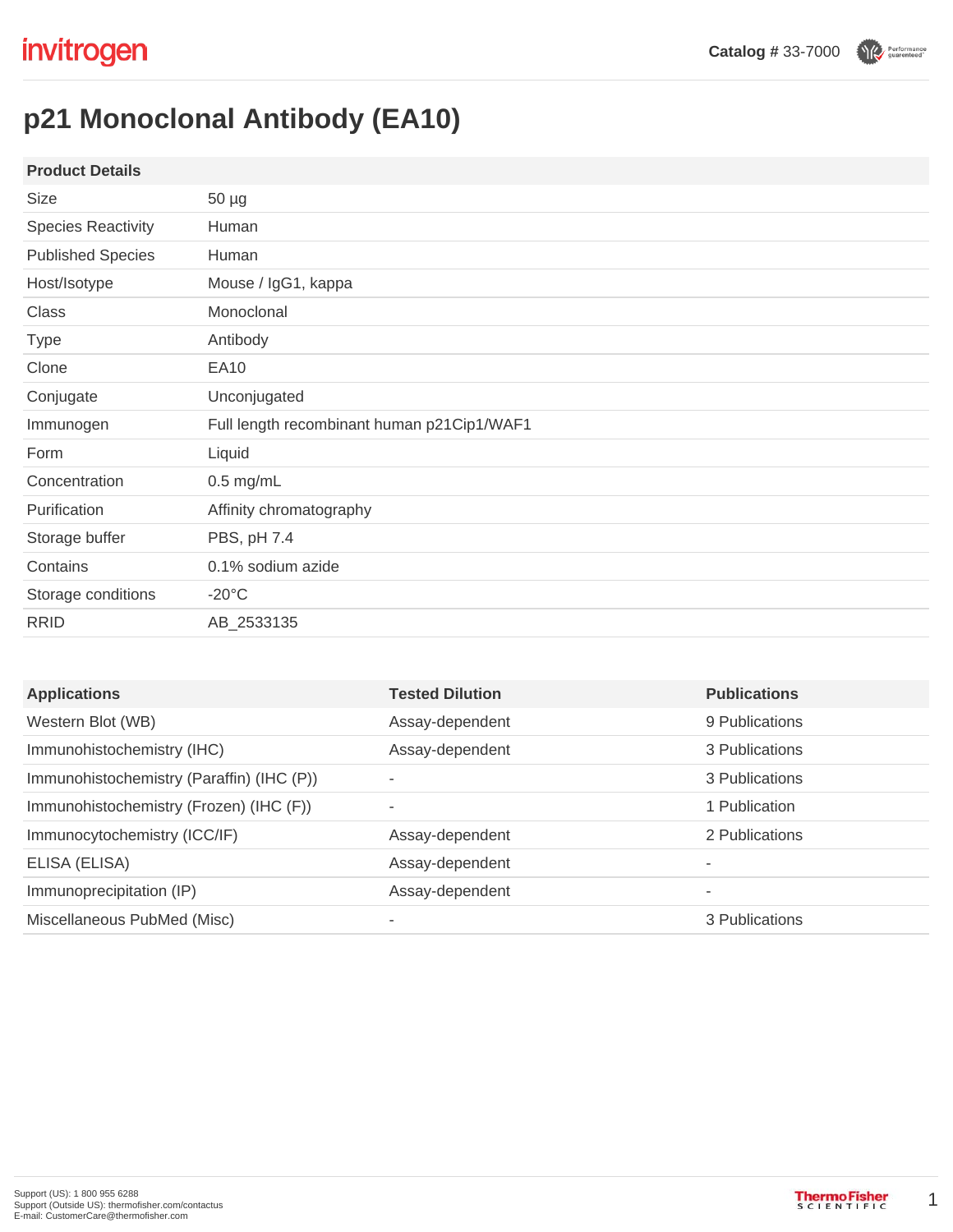Performance

# **p21 Monoclonal Antibody (EA10)**

| <b>Product Details</b>    |                                            |
|---------------------------|--------------------------------------------|
| Size                      | $50 \mu g$                                 |
| <b>Species Reactivity</b> | Human                                      |
| <b>Published Species</b>  | Human                                      |
| Host/Isotype              | Mouse / IgG1, kappa                        |
| <b>Class</b>              | Monoclonal                                 |
| <b>Type</b>               | Antibody                                   |
| Clone                     | <b>EA10</b>                                |
| Conjugate                 | Unconjugated                               |
| Immunogen                 | Full length recombinant human p21Cip1/WAF1 |
| Form                      | Liquid                                     |
| Concentration             | $0.5$ mg/mL                                |
| Purification              | Affinity chromatography                    |
| Storage buffer            | PBS, pH 7.4                                |
| Contains                  | 0.1% sodium azide                          |
| Storage conditions        | $-20^{\circ}$ C                            |
| <b>RRID</b>               | AB_2533135                                 |

| <b>Applications</b>                       | <b>Tested Dilution</b> | <b>Publications</b> |
|-------------------------------------------|------------------------|---------------------|
| Western Blot (WB)                         | Assay-dependent        | 9 Publications      |
| Immunohistochemistry (IHC)                | Assay-dependent        | 3 Publications      |
| Immunohistochemistry (Paraffin) (IHC (P)) | ٠                      | 3 Publications      |
| Immunohistochemistry (Frozen) (IHC (F))   | $\sim$                 | 1 Publication       |
| Immunocytochemistry (ICC/IF)              | Assay-dependent        | 2 Publications      |
| ELISA (ELISA)                             | Assay-dependent        | ۰                   |
| Immunoprecipitation (IP)                  | Assay-dependent        | ۰                   |
| Miscellaneous PubMed (Misc)               | ۰                      | 3 Publications      |

1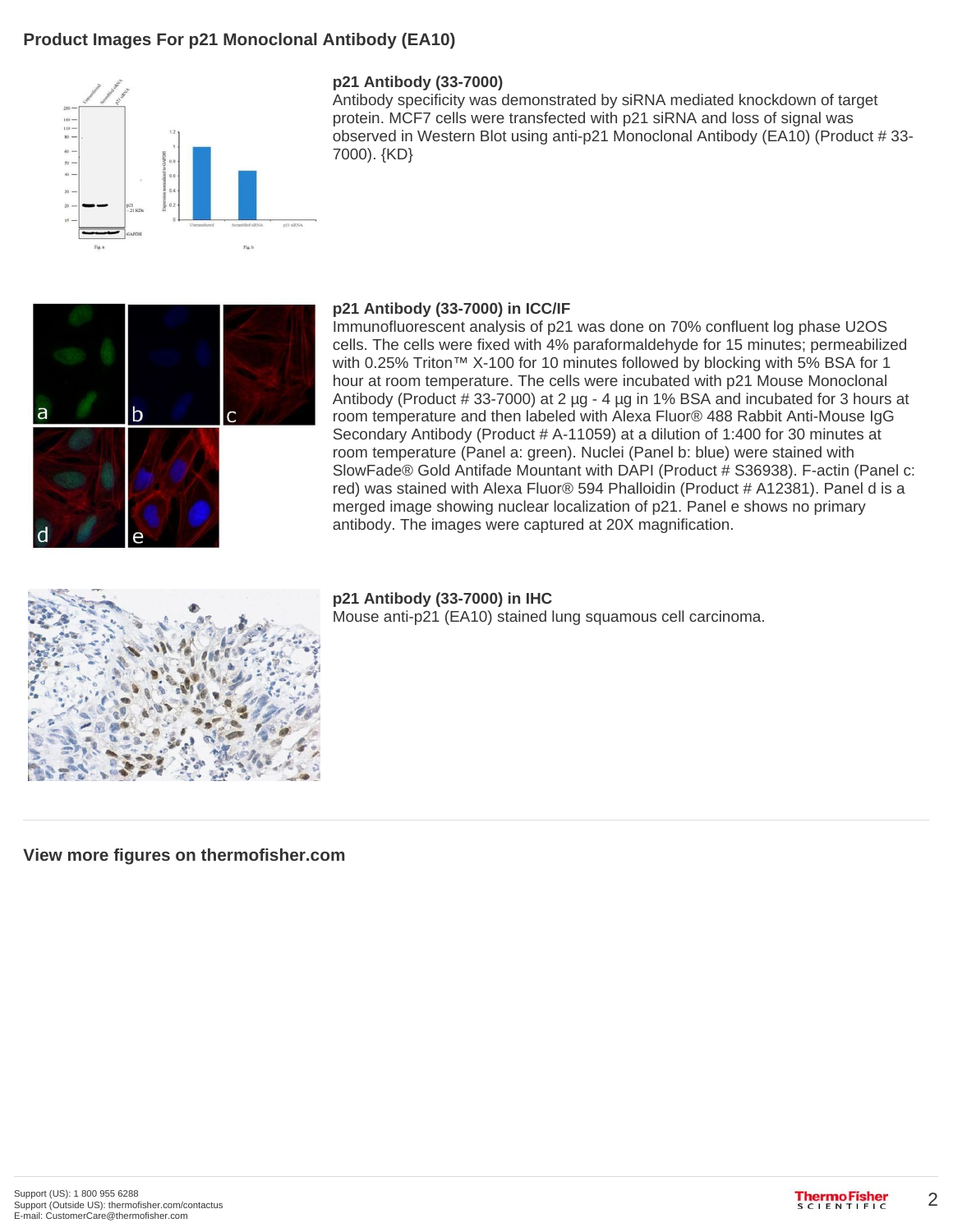## **Product Images For p21 Monoclonal Antibody (EA10)**



#### **p21 Antibody (33-7000)**

Antibody specificity was demonstrated by siRNA mediated knockdown of target protein. MCF7 cells were transfected with p21 siRNA and loss of signal was observed in Western Blot using anti-p21 Monoclonal Antibody (EA10) (Product # 33- 7000). {KD}



#### **p21 Antibody (33-7000) in ICC/IF**

Immunofluorescent analysis of p21 was done on 70% confluent log phase U2OS cells. The cells were fixed with 4% paraformaldehyde for 15 minutes; permeabilized with 0.25% Triton™ X-100 for 10 minutes followed by blocking with 5% BSA for 1 hour at room temperature. The cells were incubated with p21 Mouse Monoclonal Antibody (Product  $\#$  33-7000) at 2  $\mu$ g - 4  $\mu$ g in 1% BSA and incubated for 3 hours at room temperature and then labeled with Alexa Fluor® 488 Rabbit Anti-Mouse IgG Secondary Antibody (Product # A-11059) at a dilution of 1:400 for 30 minutes at room temperature (Panel a: green). Nuclei (Panel b: blue) were stained with SlowFade® Gold Antifade Mountant with DAPI (Product # S36938). F-actin (Panel c: red) was stained with Alexa Fluor® 594 Phalloidin (Product # A12381). Panel d is a merged image showing nuclear localization of p21. Panel e shows no primary antibody. The images were captured at 20X magnification.



**p21 Antibody (33-7000) in IHC** Mouse anti-p21 (EA10) stained lung squamous cell carcinoma.

**View more figures on thermofisher.com**